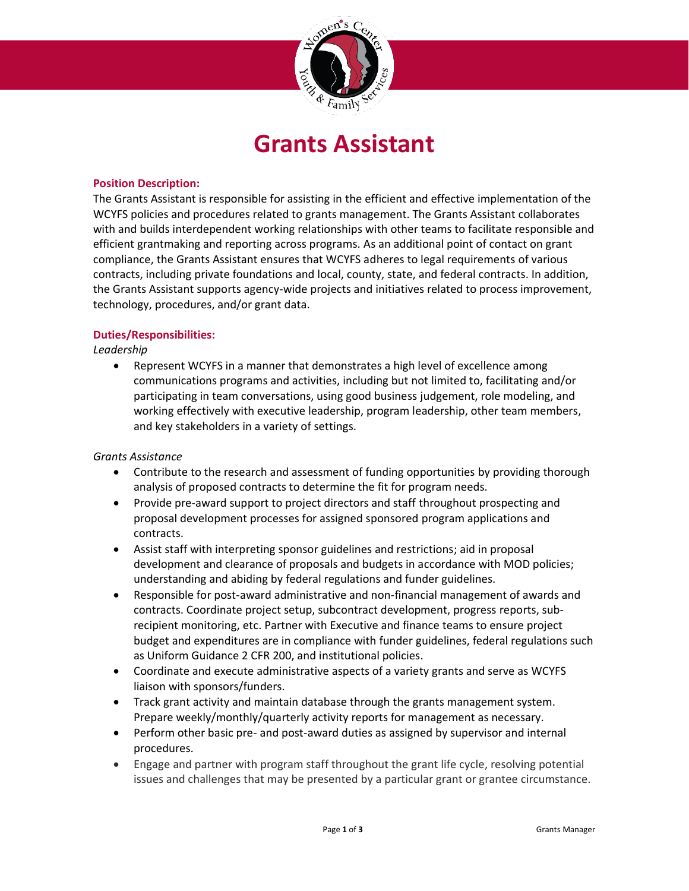

# **Grants Assistant**

## **Position Description:**

The Grants Assistant is responsible for assisting in the efficient and effective implementation of the WCYFS policies and procedures related to grants management. The Grants Assistant collaborates with and builds interdependent working relationships with other teams to facilitate responsible and efficient grantmaking and reporting across programs. As an additional point of contact on grant compliance, the Grants Assistant ensures that WCYFS adheres to legal requirements of various contracts, including private foundations and local, county, state, and federal contracts. In addition, the Grants Assistant supports agency-wide projects and initiatives related to process improvement, technology, procedures, and/or grant data.

# **Duties/Responsibilities:**

*Leadership*

• Represent WCYFS in a manner that demonstrates a high level of excellence among communications programs and activities, including but not limited to, facilitating and/or participating in team conversations, using good business judgement, role modeling, and working effectively with executive leadership, program leadership, other team members, and key stakeholders in a variety of settings.

## *Grants Assistance*

- Contribute to the research and assessment of funding opportunities by providing thorough analysis of proposed contracts to determine the fit for program needs.
- Provide pre-award support to project directors and staff throughout prospecting and proposal development processes for assigned sponsored program applications and contracts.
- Assist staff with interpreting sponsor guidelines and restrictions; aid in proposal development and clearance of proposals and budgets in accordance with MOD policies; understanding and abiding by federal regulations and funder guidelines.
- Responsible for post-award administrative and non-financial management of awards and contracts. Coordinate project setup, subcontract development, progress reports, subrecipient monitoring, etc. Partner with Executive and finance teams to ensure project budget and expenditures are in compliance with funder guidelines, federal regulations such as Uniform Guidance 2 CFR 200, and institutional policies.
- Coordinate and execute administrative aspects of a variety grants and serve as WCYFS liaison with sponsors/funders.
- Track grant activity and maintain database through the grants management system. Prepare weekly/monthly/quarterly activity reports for management as necessary.
- Perform other basic pre- and post-award duties as assigned by supervisor and internal procedures.
- Engage and partner with program staff throughout the grant life cycle, resolving potential issues and challenges that may be presented by a particular grant or grantee circumstance.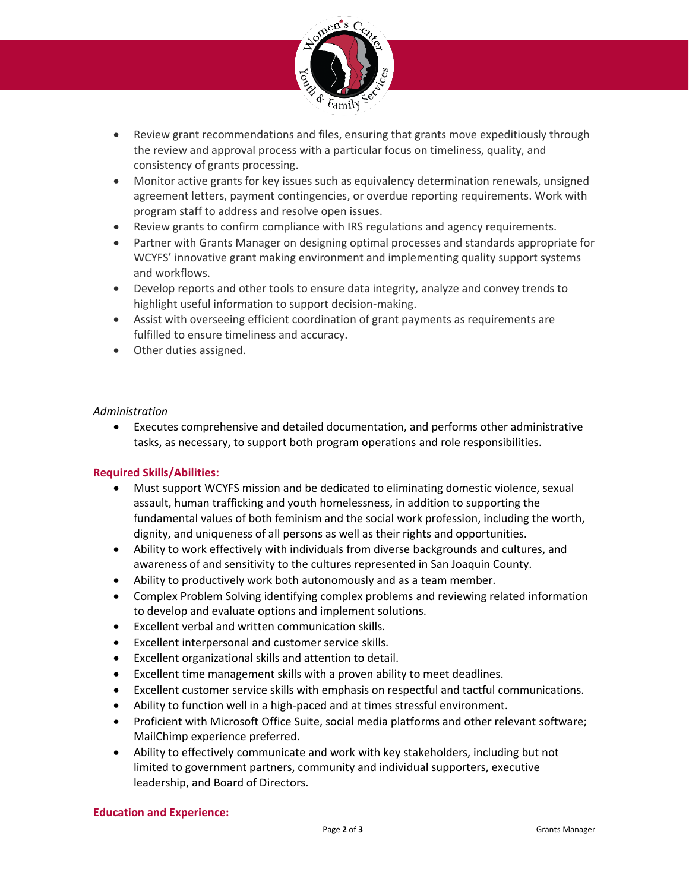

- Review grant recommendations and files, ensuring that grants move expeditiously through the review and approval process with a particular focus on timeliness, quality, and consistency of grants processing.
- Monitor active grants for key issues such as equivalency determination renewals, unsigned agreement letters, payment contingencies, or overdue reporting requirements. Work with program staff to address and resolve open issues.
- Review grants to confirm compliance with IRS regulations and agency requirements.
- Partner with Grants Manager on designing optimal processes and standards appropriate for WCYFS' innovative grant making environment and implementing quality support systems and workflows.
- Develop reports and other tools to ensure data integrity, analyze and convey trends to highlight useful information to support decision-making.
- Assist with overseeing efficient coordination of grant payments as requirements are fulfilled to ensure timeliness and accuracy.
- Other duties assigned.

# *Administration*

• Executes comprehensive and detailed documentation, and performs other administrative tasks, as necessary, to support both program operations and role responsibilities.

# **Required Skills/Abilities:**

- Must support WCYFS mission and be dedicated to eliminating domestic violence, sexual assault, human trafficking and youth homelessness, in addition to supporting the fundamental values of both feminism and the social work profession, including the worth, dignity, and uniqueness of all persons as well as their rights and opportunities.
- Ability to work effectively with individuals from diverse backgrounds and cultures, and awareness of and sensitivity to the cultures represented in San Joaquin County.
- Ability to productively work both autonomously and as a team member.
- Complex Problem Solving identifying complex problems and reviewing related information to develop and evaluate options and implement solutions.
- Excellent verbal and written communication skills.
- Excellent interpersonal and customer service skills.
- Excellent organizational skills and attention to detail.
- Excellent time management skills with a proven ability to meet deadlines.
- Excellent customer service skills with emphasis on respectful and tactful communications.
- Ability to function well in a high-paced and at times stressful environment.
- Proficient with Microsoft Office Suite, social media platforms and other relevant software; MailChimp experience preferred.
- Ability to effectively communicate and work with key stakeholders, including but not limited to government partners, community and individual supporters, executive leadership, and Board of Directors.

## **Education and Experience:**